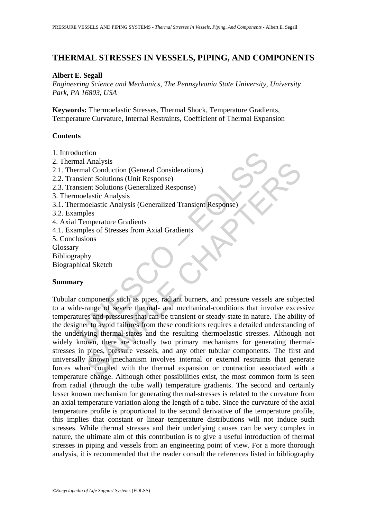# **THERMAL STRESSES IN VESSELS, PIPING, AND COMPONENTS**

### **Albert E. Segall**

*Engineering Science and Mechanics, The Pennsylvania State University, University Park, PA 16803, USA* 

**Keywords:** Thermoelastic Stresses, Thermal Shock, Temperature Gradients, Temperature Curvature, Internal Restraints, Coefficient of Thermal Expansion

## **Contents**

- 1. Introduction
- 2. Thermal Analysis
- 2.1. Thermal Conduction (General Considerations)
- 2.2. Transient Solutions (Unit Response)
- 2.3. Transient Solutions (Generalized Response)
- 3. Thermoelastic Analysis
- 3.1. Thermoelastic Analysis (Generalized Transient Response)
- 3.2. Examples
- 4. Axial Temperature Gradients
- 4.1. Examples of Stresses from Axial Gradients
- 5. Conclusions
- Glossary
- Bibliography
- Biographical Sketch

## **Summary**

duction<br>
mal Analysis<br>
mal Conduction (General Considerations)<br>
maient Solutions (Unit Response)<br>
moelastic Analysis<br>
moelastic Analysis<br>
(Generalized Transient Response)<br>
moelastic Analysis<br>
(Generalized Transient Respons Analysis<br>
al Conduction (General Considerations)<br>
al Conduction (General Considerations)<br>
ent Solutions (Generalized Response)<br>
colatsic Analysis (Generalized Transient Response)<br>
eles<br>
imperature Gradients<br>
eles<br>
emperatu Tubular components such as pipes, radiant burners, and pressure vessels are subjected to a wide-range of severe thermal- and mechanical-conditions that involve excessive temperatures and pressures that can be transient or steady-state in nature. The ability of the designer to avoid failures from these conditions requires a detailed understanding of the underlying thermal-states and the resulting thermoelastic stresses. Although not widely known, there are actually two primary mechanisms for generating thermalstresses in pipes, pressure vessels, and any other tubular components. The first and universally known mechanism involves internal or external restraints that generate forces when coupled with the thermal expansion or contraction associated with a temperature change. Although other possibilities exist, the most common form is seen from radial (through the tube wall) temperature gradients. The second and certainly lesser known mechanism for generating thermal-stresses is related to the curvature from an axial temperature variation along the length of a tube. Since the curvature of the axial temperature profile is proportional to the second derivative of the temperature profile, this implies that constant or linear temperature distributions will not induce such stresses. While thermal stresses and their underlying causes can be very complex in nature, the ultimate aim of this contribution is to give a useful introduction of thermal stresses in piping and vessels from an engineering point of view. For a more thorough analysis, it is recommended that the reader consult the references listed in bibliography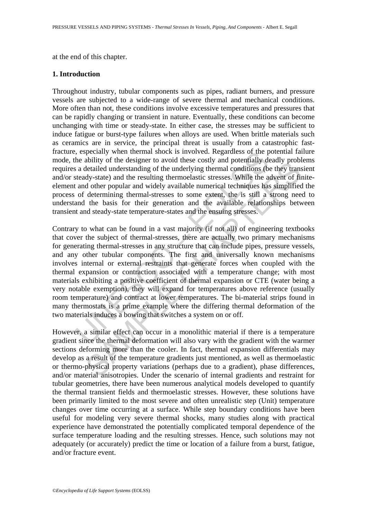at the end of this chapter.

#### **1. Introduction**

Throughout industry, tubular components such as pipes, radiant burners, and pressure vessels are subjected to a wide-range of severe thermal and mechanical conditions. More often than not, these conditions involve excessive temperatures and pressures that can be rapidly changing or transient in nature. Eventually, these conditions can become unchanging with time or steady-state. In either case, the stresses may be sufficient to induce fatigue or burst-type failures when alloys are used. When brittle materials such as ceramics are in service, the principal threat is usually from a catastrophic fastfracture, especially when thermal shock is involved. Regardless of the potential failure mode, the ability of the designer to avoid these costly and potentially deadly problems requires a detailed understanding of the underlying thermal conditions (be they transient and/or steady-state) and the resulting thermoelastic stresses. While the advent of finiteelement and other popular and widely available numerical techniques has simplified the process of determining thermal-stresses to some extent, the is still a strong need to understand the basis for their generation and the available relationships between transient and steady-state temperature-states and the ensuing stresses.

, especially when thermal shock is involved. Regardless of the p<br>he ability of the designer to avoid these costly and potentially date<br>a a detailed understanding of the underlying thermal conditions (b<br>is a detailed unders abouty of the cussgler to avoid these costs and potentially dedetailed understanding of the underlying thermal conditions, (be they transdy-state) and the resulting thermodelatic stresses. While the advent of fild other po Contrary to what can be found in a vast majority (if not all) of engineering textbooks that cover the subject of thermal-stresses, there are actually two primary mechanisms for generating thermal-stresses in any structure that can include pipes, pressure vessels, and any other tubular components. The first and universally known mechanisms involves internal or external restraints that generate forces when coupled with the thermal expansion or contraction associated with a temperature change; with most materials exhibiting a positive coefficient of thermal expansion or CTE (water being a very notable exemption), they will expand for temperatures above reference (usually room temperature) and contract at lower temperatures. The bi-material strips found in many thermostats is a prime example where the differing thermal deformation of the two materials induces a bowing that switches a system on or off.

However, a similar effect can occur in a monolithic material if there is a temperature gradient since the thermal deformation will also vary with the gradient with the warmer sections deforming more than the cooler. In fact, thermal expansion differentials may develop as a result of the temperature gradients just mentioned, as well as thermoelastic or thermo-physical property variations (perhaps due to a gradient), phase differences, and/or material anisotropies. Under the scenario of internal gradients and restraint for tubular geometries, there have been numerous analytical models developed to quantify the thermal transient fields and thermoelastic stresses. However, these solutions have been primarily limited to the most severe and often unrealistic step (Unit) temperature changes over time occurring at a surface. While step boundary conditions have been useful for modeling very severe thermal shocks, many studies along with practical experience have demonstrated the potentially complicated temporal dependence of the surface temperature loading and the resulting stresses. Hence, such solutions may not adequately (or accurately) predict the time or location of a failure from a burst, fatigue, and/or fracture event.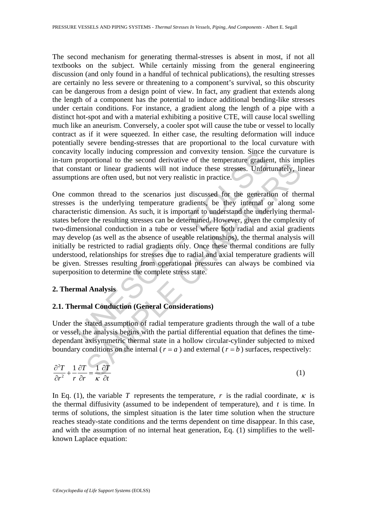The second mechanism for generating thermal-stresses is absent in most, if not all textbooks on the subject. While certainly missing from the general engineering discussion (and only found in a handful of technical publications), the resulting stresses are certainly no less severe or threatening to a component's survival, so this obscurity can be dangerous from a design point of view. In fact, any gradient that extends along the length of a component has the potential to induce additional bending-like stresses under certain conditions. For instance, a gradient along the length of a pipe with a distinct hot-spot and with a material exhibiting a positive CTE, will cause local swelling much like an aneurism. Conversely, a cooler spot will cause the tube or vessel to locally contract as if it were squeezed. In either case, the resulting deformation will induce potentially severe bending-stresses that are proportional to the local curvature with concavity locally inducing compression and convexity tension. Since the curvature is in-turn proportional to the second derivative of the temperature gradient, this implies that constant or linear gradients will not induce these stresses. Unfortunately, linear assumptions are often used, but not very realistic in practice.

Ity locally inducing compression and convexity tension. Since the proportional to the second derivative of the temperature gradients ustant or linear gradients will not induce these stresses. Unfortions are often used, but protonario of the section territore of the chip-proton and our section<br>of the transmal of the section of the chip-proton that or linear gradients will not induce these stresses. Unfortunately, it<br>is are often used, but no One common thread to the scenarios just discussed for the generation of thermal stresses is the underlying temperature gradients, be they internal or along some characteristic dimension. As such, it is important to understand the underlying thermalstates before the resulting stresses can be determined. However, given the complexity of two-dimensional conduction in a tube or vessel where both radial and axial gradients may develop (as well as the absence of useable relationships), the thermal analysis will initially be restricted to radial gradients only. Once these thermal conditions are fully understood, relationships for stresses due to radial and axial temperature gradients will be given. Stresses resulting from operational pressures can always be combined via superposition to determine the complete stress state.

### **2. Thermal Analysis**

# **2.1. Thermal Conduction (General Considerations)**

Under the stated assumption of radial temperature gradients through the wall of a tube or vessel, the analysis begins with the partial differential equation that defines the timedependant axisymmetric thermal state in a hollow circular-cylinder subjected to mixed boundary conditions on the internal ( $r = a$ ) and external ( $r = b$ ) surfaces, respectively:

$$
\frac{\partial^2 T}{\partial r^2} + \frac{1}{r} \frac{\partial T}{\partial r} = \frac{1}{\kappa} \frac{\partial T}{\partial t}
$$
 (1)

In Eq. (1), the variable *T* represents the temperature, *r* is the radial coordinate,  $\kappa$  is the thermal diffusivity (assumed to be independent of temperature), and *t* is time. In terms of solutions, the simplest situation is the later time solution when the structure reaches steady-state conditions and the terms dependent on time disappear. In this case, and with the assumption of no internal heat generation, Eq. (1) simplifies to the wellknown Laplace equation: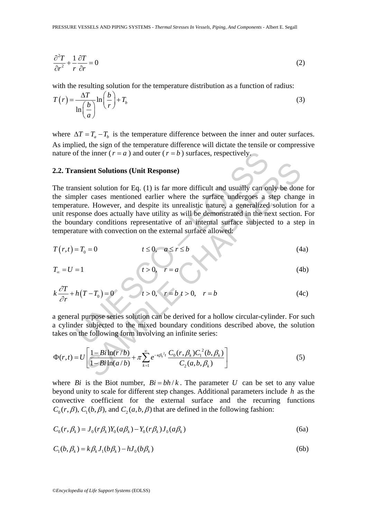$$
\frac{\partial^2 T}{\partial r^2} + \frac{1}{r} \frac{\partial T}{\partial r} = 0
$$
 (2)

with the resulting solution for the temperature distribution as a function of radius:

$$
T(r) = \frac{\Delta T}{\ln\left(\frac{b}{a}\right)} \ln\left(\frac{b}{r}\right) + T_b
$$
\n(3)

where  $\Delta T = T_a - T_b$  is the temperature difference between the inner and outer surfaces. As implied, the sign of the temperature difference will dictate the tensile or compressive nature of the inner ( $r = a$ ) and outer ( $r = b$ ) surfaces, respectively.

#### **2.2. Transient Solutions (Unit Response)**

of the inner  $(r = a)$  and outer  $(r = b)$  surfaces, respectively.<br> **ansient Solutions (Unit Response)**<br>
ansient solution for Eq. (1) is far more difficult and usually can on<br>
pler cases mentioned earlier where the surface unde **Example 16. Consideration** (Unit Response)<br>
tent Solution for Eq. (1) is far more difficult and usually can only be done<br>
c. However, and despire its unrealistic nature, a generalized solution f<br>
e. However, and despir The transient solution for Eq. (1) is far more difficult and usually can only be done for the simpler cases mentioned earlier where the surface undergoes a step change in temperature. However, and despite its unrealistic nature, a generalized solution for a unit response does actually have utility as will be demonstrated in the next section. For the boundary conditions representative of an internal surface subjected to a step in temperature with convection on the external surface allowed:

$$
T(r,t) = T_0 = 0 \qquad \qquad t \le 0, \quad a \le r \le b \tag{4a}
$$

$$
T_{\infty} = U = 1
$$
 (4b)

$$
k\frac{\partial T}{\partial r} + h(T - T_0) = 0 \qquad t > 0, \quad r = b \quad t > 0, \quad r = b \tag{4c}
$$

a general purpose series solution can be derived for a hollow circular-cylinder. For such a cylinder subjected to the mixed boundary conditions described above, the solution takes on the following form involving an infinite series:

$$
\Phi(r,t) = U \left[ \frac{1 - Bi \ln(r/b)}{1 - Bi \ln(a/b)} + \pi \sum_{k=1}^{\infty} e^{-\kappa \beta_k^2 t} \frac{C_0(r, \beta_k) C_1^2(b, \beta_k)}{C_2(a, b, \beta_k)} \right]
$$
(5)

where *Bi* is the Biot number,  $Bi = bh/k$ . The parameter *U* can be set to any value beyond unity to scale for different step changes. Additional parameters include *h* as the convective coefficient for the external surface and the recurring functions  $C_0(r, \beta)$ ,  $C_1(b, \beta)$ , and  $C_2(a, b, \beta)$  that are defined in the following fashion:

$$
C_0(r, \beta_k) = J_0(r\beta_k)Y_0(a\beta_k) - Y_0(r\beta_k)J_0(a\beta_k)
$$
\n(6a)

$$
C_1(b, \beta_k) = k\beta_k J_1(b\beta_k) - hJ_0(b\beta_k)
$$
\n
$$
(6b)
$$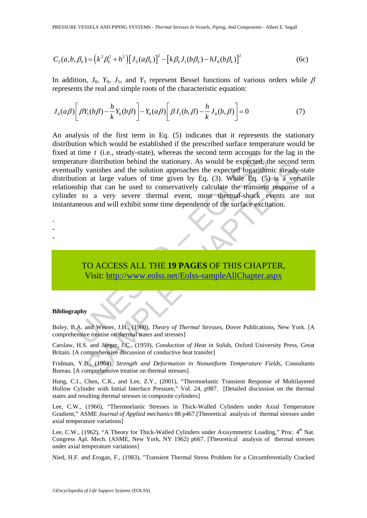$$
C_2(a,b,\beta_k) = (k^2 \beta_k^2 + h^2) [J_0(a\beta_k)]^2 - [k\beta_k J_1(b\beta_k) - hJ_0(b\beta_k)]^2
$$
 (6c)

In addition,  $J_0$ ,  $Y_0$ ,  $J_1$ , and  $Y_1$  represent Bessel functions of various orders while  $\beta$ represents the real and simple roots of the characteristic equation:

$$
J_0(a\beta)\left[\beta Y_1(b\beta) - \frac{h}{k}Y_0(b\beta)\right] - Y_0(a\beta)\left[\beta J_1(b,\beta) - \frac{h}{k}J_0(b,\beta)\right] = 0\tag{7}
$$

time t (i.e., steady-state), whereas the second term accounts for<br>ture distribution behind the stationary. As would be expected, the<br>ly vanishes and the solution approaches the expected logarithm<br>tion at large values of ti e assumuto foemant are statonary. As would be expected, the second<br>vanishes and the solution approaches the expected logarithmic steady-<br>vanishes and the solution approaches the expected logarithmic steady-<br>o a very severe An analysis of the first term in Eq. (5) indicates that it represents the stationary distribution which would be established if the prescribed surface temperature would be fixed at time *t* (i.e., steady-state), whereas the second term accounts for the lag in the temperature distribution behind the stationary. As would be expected, the second term eventually vanishes and the solution approaches the expected logarithmic steady-state distribution at large values of time given by Eq. (3). While Eq. (5) is a versatile relationship that can be used to conservatively calculate the transient response of a cylinder to a very severe thermal event, most thermal-shock events are not instantaneous and will exhibit some time dependence of the surface excitation.

- -
- -
- -

TO ACCESS ALL THE **19 PAGES** OF THIS CHAPTER, Visit: http://www.eolss.net/Eolss-sampleAllChapter.aspx

#### **Bibliography**

Boley, B.A. and Weiner, J.H., (1960), *Theory of Thermal Stresses*, Dover Publications, New York. [A comprehensive treatise on thermal states and stresses]

Carslaw, H.S. and Jaeger, J.C., (1959), *Conduction of Heat in Solids*, Oxford University Press, Great Britain. [A comprehensive discussion of conductive heat transfer]

Fridman, Y.B., (1964), *Strength and Deformation in Nonuniform Temperature Fields*, Consultants Bureau. [A comprehensive treatise on thermal stresses]

Hung, C.I., Chen, C.K., and Lee, Z.Y., (2001), "Thermoelastic Transient Response of Multilayered Hollow Cylinder with Initial Interface Pressure," Vol. 24, p987. [Detailed discussion on the thermal states and resulting thermal stresses in composite cylinders]

Lee, C.W., (1966), "Thermoelastic Stresses in Thick-Walled Cylinders under Axial Temperature Gradient," ASME *Journal of Applied mechanics* 88 p467.[Theoretical analysis of thermal stresses under axial temperature variations]

Lee, C.W., (1962), "A Theory for Thick-Walled Cylinders under Axisymmetric Loading," Proc. 4<sup>th</sup> Nat. Congress Apl. Mech. (ASME, New York, NY 1962) p667. [Theoretical analysis of thermal stresses under axial temperature variations]

Nied, H.F. and Erogan, F., (1983), "Transient Thermal Stress Problem for a Circumferentially Cracked